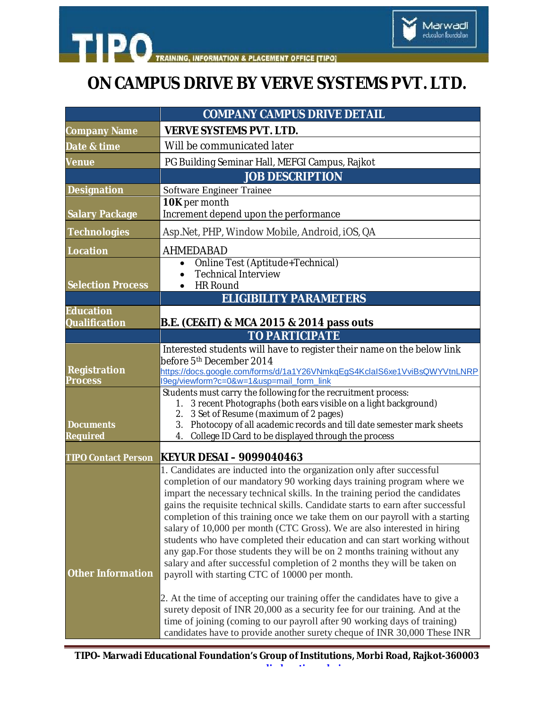## **ON CAMPUS DRIVE BY VERVE SYSTEMS PVT. LTD.**

**TIPO** 

|                                          | <b>COMPANY CAMPUS DRIVE DETAIL</b>                                                                                                                                                                                                                                                                                                                                                                                                                                                                                                                                                                                                                                                                                                                                    |
|------------------------------------------|-----------------------------------------------------------------------------------------------------------------------------------------------------------------------------------------------------------------------------------------------------------------------------------------------------------------------------------------------------------------------------------------------------------------------------------------------------------------------------------------------------------------------------------------------------------------------------------------------------------------------------------------------------------------------------------------------------------------------------------------------------------------------|
| <b>Company Name</b>                      | <b>VERVE SYSTEMS PVT. LTD.</b>                                                                                                                                                                                                                                                                                                                                                                                                                                                                                                                                                                                                                                                                                                                                        |
| Date & time                              | Will be communicated later                                                                                                                                                                                                                                                                                                                                                                                                                                                                                                                                                                                                                                                                                                                                            |
| <b>Venue</b>                             | PG Building Seminar Hall, MEFGI Campus, Rajkot                                                                                                                                                                                                                                                                                                                                                                                                                                                                                                                                                                                                                                                                                                                        |
|                                          | <b>JOB DESCRIPTION</b>                                                                                                                                                                                                                                                                                                                                                                                                                                                                                                                                                                                                                                                                                                                                                |
| <b>Designation</b>                       | Software Engineer Trainee                                                                                                                                                                                                                                                                                                                                                                                                                                                                                                                                                                                                                                                                                                                                             |
| <b>Salary Package</b>                    | 10K per month<br>Increment depend upon the performance                                                                                                                                                                                                                                                                                                                                                                                                                                                                                                                                                                                                                                                                                                                |
| <b>Technologies</b>                      | Asp.Net, PHP, Window Mobile, Android, iOS, QA                                                                                                                                                                                                                                                                                                                                                                                                                                                                                                                                                                                                                                                                                                                         |
| <b>Location</b>                          | AHMEDABAD                                                                                                                                                                                                                                                                                                                                                                                                                                                                                                                                                                                                                                                                                                                                                             |
| <b>Selection Process</b>                 | Online Test (Aptitude+Technical)<br>$\bullet$<br><b>Technical Interview</b><br>$\bullet$<br><b>HR Round</b><br>$\bullet$                                                                                                                                                                                                                                                                                                                                                                                                                                                                                                                                                                                                                                              |
|                                          | <b>ELIGIBILITY PARAMETERS</b>                                                                                                                                                                                                                                                                                                                                                                                                                                                                                                                                                                                                                                                                                                                                         |
| <b>Education</b><br><b>Qualification</b> | B.E. (CE&IT) & MCA 2015 & 2014 pass outs                                                                                                                                                                                                                                                                                                                                                                                                                                                                                                                                                                                                                                                                                                                              |
|                                          | <b>TO PARTICIPATE</b>                                                                                                                                                                                                                                                                                                                                                                                                                                                                                                                                                                                                                                                                                                                                                 |
| <b>Registration</b><br><b>Process</b>    | Interested students will have to register their name on the below link<br>before 5 <sup>th</sup> December 2014<br>https://docs.google.com/forms/d/1a1Y26VNmkqEgS4KclaIS6xe1VviBsQWYVtnLNRP<br>l9eg/viewform?c=0&w=1&usp=mail_form_link                                                                                                                                                                                                                                                                                                                                                                                                                                                                                                                                |
| <b>Documents</b><br><b>Required</b>      | Students must carry the following for the recruitment process:<br>1. 3 recent Photographs (both ears visible on a light background)<br>2. 3 Set of Resume (maximum of 2 pages)<br>3. Photocopy of all academic records and till date semester mark sheets<br>College ID Card to be displayed through the process<br>4.                                                                                                                                                                                                                                                                                                                                                                                                                                                |
| <b>TIPO Contact Person</b>               | KEYUR DESAI – 9099040463                                                                                                                                                                                                                                                                                                                                                                                                                                                                                                                                                                                                                                                                                                                                              |
| <b>Other Information</b>                 | 1. Candidates are inducted into the organization only after successful<br>completion of our mandatory 90 working days training program where we<br>impart the necessary technical skills. In the training period the candidates<br>gains the requisite technical skills. Candidate starts to earn after successful<br>completion of this training once we take them on our payroll with a starting<br>salary of 10,000 per month (CTC Gross). We are also interested in hiring<br>students who have completed their education and can start working without<br>any gap. For those students they will be on 2 months training without any<br>salary and after successful completion of 2 months they will be taken on<br>payroll with starting CTC of 10000 per month. |
|                                          | 2. At the time of accepting our training offer the candidates have to give a<br>surety deposit of INR 20,000 as a security fee for our training. And at the<br>time of joining (coming to our payroll after 90 working days of training)<br>candidates have to provide another surety cheque of INR 30,000 These INR                                                                                                                                                                                                                                                                                                                                                                                                                                                  |

**[www.marwadieducation.edu.in](http://www.marwadieducation.edu.in)**